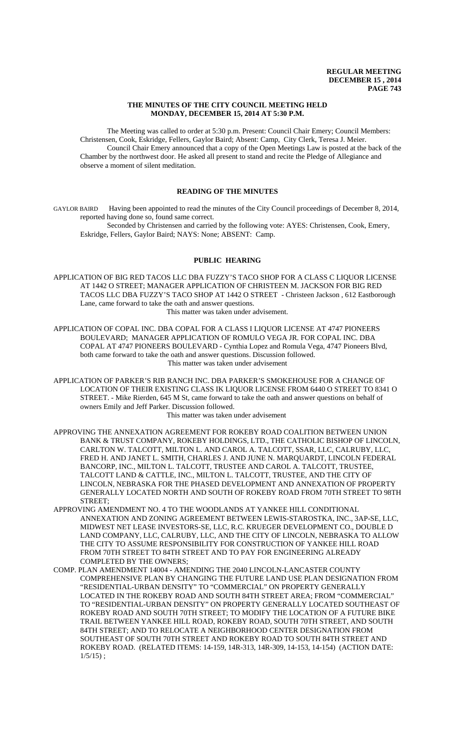## **THE MINUTES OF THE CITY COUNCIL MEETING HELD MONDAY, DECEMBER 15, 2014 AT 5:30 P.M.**

The Meeting was called to order at 5:30 p.m. Present: Council Chair Emery; Council Members: Christensen, Cook, Eskridge, Fellers, Gaylor Baird; Absent: Camp, City Clerk, Teresa J. Meier. Council Chair Emery announced that a copy of the Open Meetings Law is posted at the back of the Chamber by the northwest door. He asked all present to stand and recite the Pledge of Allegiance and observe a moment of silent meditation.

# **READING OF THE MINUTES**

GAYLOR BAIRD Having been appointed to read the minutes of the City Council proceedings of December 8, 2014, reported having done so, found same correct.

Seconded by Christensen and carried by the following vote: AYES: Christensen, Cook, Emery, Eskridge, Fellers, Gaylor Baird; NAYS: None; ABSENT: Camp.

# **PUBLIC HEARING**

APPLICATION OF BIG RED TACOS LLC DBA FUZZY'S TACO SHOP FOR A CLASS C LIQUOR LICENSE AT 1442 O STREET; MANAGER APPLICATION OF CHRISTEEN M. JACKSON FOR BIG RED TACOS LLC DBA FUZZY'S TACO SHOP AT 1442 O STREET - Christeen Jackson , 612 Eastborough Lane, came forward to take the oath and answer questions.

This matter was taken under advisement.

APPLICATION OF COPAL INC. DBA COPAL FOR A CLASS I LIQUOR LICENSE AT 4747 PIONEERS BOULEVARD; MANAGER APPLICATION OF ROMULO VEGA JR. FOR COPAL INC. DBA COPAL AT 4747 PIONEERS BOULEVARD - Cynthia Lopez and Romula Vega, 4747 Pioneers Blvd, both came forward to take the oath and answer questions. Discussion followed. This matter was taken under advisement

APPLICATION OF PARKER'S RIB RANCH INC. DBA PARKER'S SMOKEHOUSE FOR A CHANGE OF LOCATION OF THEIR EXISTING CLASS IK LIQUOR LICENSE FROM 6440 O STREET TO 8341 O STREET. - Mike Rierden, 645 M St, came forward to take the oath and answer questions on behalf of owners Emily and Jeff Parker. Discussion followed.

## This matter was taken under advisement

- APPROVING THE ANNEXATION AGREEMENT FOR ROKEBY ROAD COALITION BETWEEN UNION BANK & TRUST COMPANY, ROKEBY HOLDINGS, LTD., THE CATHOLIC BISHOP OF LINCOLN, CARLTON W. TALCOTT, MILTON L. AND CAROL A. TALCOTT, SSAR, LLC, CALRUBY, LLC, FRED H. AND JANET L. SMITH, CHARLES J. AND JUNE N. MARQUARDT, LINCOLN FEDERAL BANCORP, INC., MILTON L. TALCOTT, TRUSTEE AND CAROL A. TALCOTT, TRUSTEE, TALCOTT LAND & CATTLE, INC., MILTON L. TALCOTT, TRUSTEE, AND THE CITY OF LINCOLN, NEBRASKA FOR THE PHASED DEVELOPMENT AND ANNEXATION OF PROPERTY GENERALLY LOCATED NORTH AND SOUTH OF ROKEBY ROAD FROM 70TH STREET TO 98TH STREET;
- APPROVING AMENDMENT NO. 4 TO THE WOODLANDS AT YANKEE HILL CONDITIONAL ANNEXATION AND ZONING AGREEMENT BETWEEN LEWIS-STAROSTKA, INC., 3AP-SE, LLC, MIDWEST NET LEASE INVESTORS-SE, LLC, R.C. KRUEGER DEVELOPMENT CO., DOUBLE D LAND COMPANY, LLC, CALRUBY, LLC, AND THE CITY OF LINCOLN, NEBRASKA TO ALLOW THE CITY TO ASSUME RESPONSIBILITY FOR CONSTRUCTION OF YANKEE HILL ROAD FROM 70TH STREET TO 84TH STREET AND TO PAY FOR ENGINEERING ALREADY COMPLETED BY THE OWNERS;
- COMP. PLAN AMENDMENT 14004 AMENDING THE 2040 LINCOLN-LANCASTER COUNTY COMPREHENSIVE PLAN BY CHANGING THE FUTURE LAND USE PLAN DESIGNATION FROM "RESIDENTIAL-URBAN DENSITY" TO "COMMERCIAL" ON PROPERTY GENERALLY LOCATED IN THE ROKEBY ROAD AND SOUTH 84TH STREET AREA; FROM "COMMERCIAL" TO "RESIDENTIAL-URBAN DENSITY" ON PROPERTY GENERALLY LOCATED SOUTHEAST OF ROKEBY ROAD AND SOUTH 70TH STREET; TO MODIFY THE LOCATION OF A FUTURE BIKE TRAIL BETWEEN YANKEE HILL ROAD, ROKEBY ROAD, SOUTH 70TH STREET, AND SOUTH 84TH STREET; AND TO RELOCATE A NEIGHBORHOOD CENTER DESIGNATION FROM SOUTHEAST OF SOUTH 70TH STREET AND ROKEBY ROAD TO SOUTH 84TH STREET AND ROKEBY ROAD. (RELATED ITEMS: 14-159, 14R-313, 14R-309, 14-153, 14-154) (ACTION DATE:  $1/5/15$ ;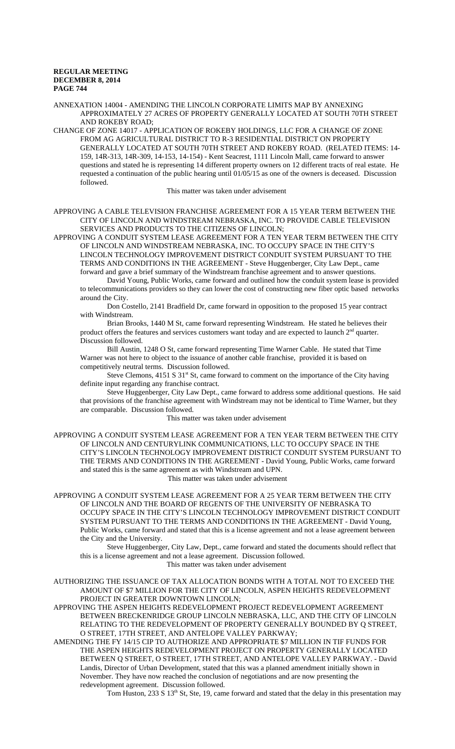ANNEXATION 14004 - AMENDING THE LINCOLN CORPORATE LIMITS MAP BY ANNEXING APPROXIMATELY 27 ACRES OF PROPERTY GENERALLY LOCATED AT SOUTH 70TH STREET AND ROKEBY ROAD;

CHANGE OF ZONE 14017 - APPLICATION OF ROKEBY HOLDINGS, LLC FOR A CHANGE OF ZONE FROM AG AGRICULTURAL DISTRICT TO R-3 RESIDENTIAL DISTRICT ON PROPERTY GENERALLY LOCATED AT SOUTH 70TH STREET AND ROKEBY ROAD. (RELATED ITEMS: 14- 159, 14R-313, 14R-309, 14-153, 14-154) - Kent Seacrest, 1111 Lincoln Mall, came forward to answer questions and stated he is representing 14 different property owners on 12 different tracts of real estate. He requested a continuation of the public hearing until 01/05/15 as one of the owners is deceased. Discussion followed.

This matter was taken under advisement

APPROVING A CABLE TELEVISION FRANCHISE AGREEMENT FOR A 15 YEAR TERM BETWEEN THE CITY OF LINCOLN AND WINDSTREAM NEBRASKA, INC. TO PROVIDE CABLE TELEVISION SERVICES AND PRODUCTS TO THE CITIZENS OF LINCOLN;

APPROVING A CONDUIT SYSTEM LEASE AGREEMENT FOR A TEN YEAR TERM BETWEEN THE CITY OF LINCOLN AND WINDSTREAM NEBRASKA, INC. TO OCCUPY SPACE IN THE CITY'S LINCOLN TECHNOLOGY IMPROVEMENT DISTRICT CONDUIT SYSTEM PURSUANT TO THE TERMS AND CONDITIONS IN THE AGREEMENT - Steve Huggenberger, City Law Dept., came

forward and gave a brief summary of the Windstream franchise agreement and to answer questions. David Young, Public Works, came forward and outlined how the conduit system lease is provided to telecommunications providers so they can lower the cost of constructing new fiber optic based networks around the City.

Don Costello, 2141 Bradfield Dr, came forward in opposition to the proposed 15 year contract with Windstream.

Brian Brooks, 1440 M St, came forward representing Windstream. He stated he believes their product offers the features and services customers want today and are expected to launch  $2<sup>nd</sup>$  quarter. Discussion followed.

Bill Austin, 1248 O St, came forward representing Time Warner Cable. He stated that Time Warner was not here to object to the issuance of another cable franchise, provided it is based on competitively neutral terms. Discussion followed.

Steve Clemons, 4151 S 31<sup>st</sup> St, came forward to comment on the importance of the City having definite input regarding any franchise contract.

Steve Huggenberger, City Law Dept., came forward to address some additional questions. He said that provisions of the franchise agreement with Windstream may not be identical to Time Warner, but they are comparable. Discussion followed.

This matter was taken under advisement

APPROVING A CONDUIT SYSTEM LEASE AGREEMENT FOR A TEN YEAR TERM BETWEEN THE CITY OF LINCOLN AND CENTURYLINK COMMUNICATIONS, LLC TO OCCUPY SPACE IN THE CITY'S LINCOLN TECHNOLOGY IMPROVEMENT DISTRICT CONDUIT SYSTEM PURSUANT TO THE TERMS AND CONDITIONS IN THE AGREEMENT - David Young, Public Works, came forward and stated this is the same agreement as with Windstream and UPN.

This matter was taken under advisement

APPROVING A CONDUIT SYSTEM LEASE AGREEMENT FOR A 25 YEAR TERM BETWEEN THE CITY OF LINCOLN AND THE BOARD OF REGENTS OF THE UNIVERSITY OF NEBRASKA TO OCCUPY SPACE IN THE CITY'S LINCOLN TECHNOLOGY IMPROVEMENT DISTRICT CONDUIT SYSTEM PURSUANT TO THE TERMS AND CONDITIONS IN THE AGREEMENT - David Young, Public Works, came forward and stated that this is a license agreement and not a lease agreement between the City and the University.

Steve Huggenberger, City Law, Dept., came forward and stated the documents should reflect that this is a license agreement and not a lease agreement. Discussion followed. This matter was taken under advisement

AUTHORIZING THE ISSUANCE OF TAX ALLOCATION BONDS WITH A TOTAL NOT TO EXCEED THE AMOUNT OF \$7 MILLION FOR THE CITY OF LINCOLN, ASPEN HEIGHTS REDEVELOPMENT PROJECT IN GREATER DOWNTOWN LINCOLN;

APPROVING THE ASPEN HEIGHTS REDEVELOPMENT PROJECT REDEVELOPMENT AGREEMENT BETWEEN BRECKENRIDGE GROUP LINCOLN NEBRASKA, LLC, AND THE CITY OF LINCOLN RELATING TO THE REDEVELOPMENT OF PROPERTY GENERALLY BOUNDED BY Q STREET, O STREET, 17TH STREET, AND ANTELOPE VALLEY PARKWAY;

AMENDING THE FY 14/15 CIP TO AUTHORIZE AND APPROPRIATE \$7 MILLION IN TIF FUNDS FOR THE ASPEN HEIGHTS REDEVELOPMENT PROJECT ON PROPERTY GENERALLY LOCATED BETWEEN Q STREET, O STREET, 17TH STREET, AND ANTELOPE VALLEY PARKWAY. - David Landis, Director of Urban Development, stated that this was a planned amendment initially shown in November. They have now reached the conclusion of negotiations and are now presenting the redevelopment agreement. Discussion followed.

Tom Huston, 233 S 13<sup>th</sup> St, Ste, 19, came forward and stated that the delay in this presentation may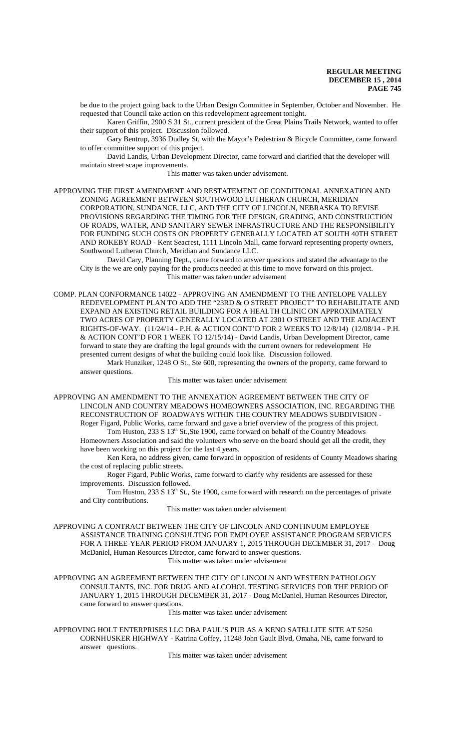be due to the project going back to the Urban Design Committee in September, October and November. He requested that Council take action on this redevelopment agreement tonight.

Karen Griffin, 2900 S 31 St., current president of the Great Plains Trails Network, wanted to offer their support of this project. Discussion followed.

Gary Bentrup, 3936 Dudley St, with the Mayor's Pedestrian & Bicycle Committee, came forward to offer committee support of this project.

David Landis, Urban Development Director, came forward and clarified that the developer will maintain street scape improvements.

This matter was taken under advisement.

APPROVING THE FIRST AMENDMENT AND RESTATEMENT OF CONDITIONAL ANNEXATION AND ZONING AGREEMENT BETWEEN SOUTHWOOD LUTHERAN CHURCH, MERIDIAN CORPORATION, SUNDANCE, LLC, AND THE CITY OF LINCOLN, NEBRASKA TO REVISE PROVISIONS REGARDING THE TIMING FOR THE DESIGN, GRADING, AND CONSTRUCTION OF ROADS, WATER, AND SANITARY SEWER INFRASTRUCTURE AND THE RESPONSIBILITY FOR FUNDING SUCH COSTS ON PROPERTY GENERALLY LOCATED AT SOUTH 40TH STREET AND ROKEBY ROAD - Kent Seacrest, 1111 Lincoln Mall, came forward representing property owners, Southwood Lutheran Church, Meridian and Sundance LLC.

David Cary, Planning Dept., came forward to answer questions and stated the advantage to the City is the we are only paying for the products needed at this time to move forward on this project. This matter was taken under advisement

COMP. PLAN CONFORMANCE 14022 - APPROVING AN AMENDMENT TO THE ANTELOPE VALLEY REDEVELOPMENT PLAN TO ADD THE "23RD & O STREET PROJECT" TO REHABILITATE AND EXPAND AN EXISTING RETAIL BUILDING FOR A HEALTH CLINIC ON APPROXIMATELY TWO ACRES OF PROPERTY GENERALLY LOCATED AT 2301 O STREET AND THE ADJACENT RIGHTS-OF-WAY. (11/24/14 - P.H. & ACTION CONT'D FOR 2 WEEKS TO 12/8/14) (12/08/14 - P.H. & ACTION CONT'D FOR 1 WEEK TO 12/15/14) - David Landis, Urban Development Director, came forward to state they are drafting the legal grounds with the current owners for redevelopment He presented current designs of what the building could look like. Discussion followed.

Mark Hunziker, 1248 O St., Ste 600, representing the owners of the property, came forward to answer questions.

This matter was taken under advisement

APPROVING AN AMENDMENT TO THE ANNEXATION AGREEMENT BETWEEN THE CITY OF LINCOLN AND COUNTRY MEADOWS HOMEOWNERS ASSOCIATION, INC. REGARDING THE RECONSTRUCTION OF ROADWAYS WITHIN THE COUNTRY MEADOWS SUBDIVISION - Roger Figard, Public Works, came forward and gave a brief overview of the progress of this project.

Tom Huston, 233 S 13<sup>th</sup> St.,Ste 1900, came forward on behalf of the Country Meadows Homeowners Association and said the volunteers who serve on the board should get all the credit, they have been working on this project for the last 4 years.

Ken Kera, no address given, came forward in opposition of residents of County Meadows sharing the cost of replacing public streets.

Roger Figard, Public Works, came forward to clarify why residents are assessed for these improvements. Discussion followed.

Tom Huston, 233 S 13<sup>th</sup> St., Ste 1900, came forward with research on the percentages of private and City contributions.

This matter was taken under advisement

APPROVING A CONTRACT BETWEEN THE CITY OF LINCOLN AND CONTINUUM EMPLOYEE ASSISTANCE TRAINING CONSULTING FOR EMPLOYEE ASSISTANCE PROGRAM SERVICES FOR A THREE-YEAR PERIOD FROM JANUARY 1, 2015 THROUGH DECEMBER 31, 2017 - Doug McDaniel, Human Resources Director, came forward to answer questions.

This matter was taken under advisement

APPROVING AN AGREEMENT BETWEEN THE CITY OF LINCOLN AND WESTERN PATHOLOGY CONSULTANTS, INC. FOR DRUG AND ALCOHOL TESTING SERVICES FOR THE PERIOD OF JANUARY 1, 2015 THROUGH DECEMBER 31, 2017 - Doug McDaniel, Human Resources Director, came forward to answer questions.

This matter was taken under advisement

APPROVING HOLT ENTERPRISES LLC DBA PAUL'S PUB AS A KENO SATELLITE SITE AT 5250 CORNHUSKER HIGHWAY - Katrina Coffey, 11248 John Gault Blvd, Omaha, NE, came forward to answer questions.

This matter was taken under advisement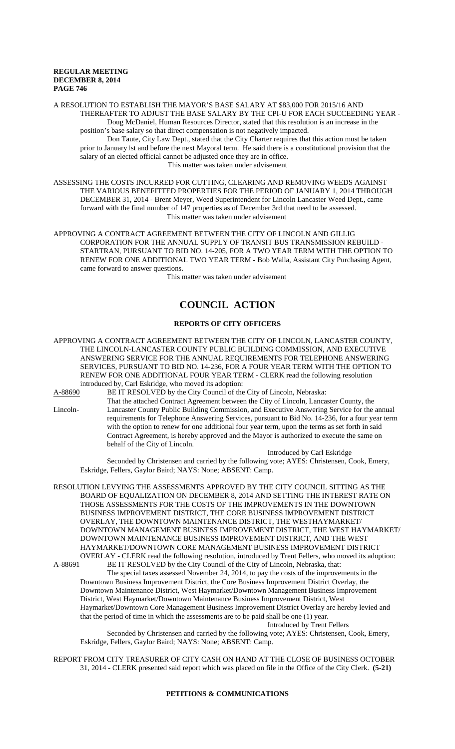A RESOLUTION TO ESTABLISH THE MAYOR'S BASE SALARY AT \$83,000 FOR 2015/16 AND THEREAFTER TO ADJUST THE BASE SALARY BY THE CPI-U FOR EACH SUCCEEDING YEAR -

Doug McDaniel, Human Resources Director, stated that this resolution is an increase in the position's base salary so that direct compensation is not negatively impacted.

Don Taute, City Law Dept., stated that the City Charter requires that this action must be taken prior to January1st and before the next Mayoral term. He said there is a constitutional provision that the salary of an elected official cannot be adjusted once they are in office. This matter was taken under advisement

ASSESSING THE COSTS INCURRED FOR CUTTING, CLEARING AND REMOVING WEEDS AGAINST THE VARIOUS BENEFITTED PROPERTIES FOR THE PERIOD OF JANUARY 1, 2014 THROUGH DECEMBER 31, 2014 - Brent Meyer, Weed Superintendent for Lincoln Lancaster Weed Dept., came forward with the final number of 147 properties as of December 3rd that need to be assessed. This matter was taken under advisement

APPROVING A CONTRACT AGREEMENT BETWEEN THE CITY OF LINCOLN AND GILLIG CORPORATION FOR THE ANNUAL SUPPLY OF TRANSIT BUS TRANSMISSION REBUILD - STARTRAN, PURSUANT TO BID NO. 14-205, FOR A TWO YEAR TERM WITH THE OPTION TO RENEW FOR ONE ADDITIONAL TWO YEAR TERM - Bob Walla, Assistant City Purchasing Agent, came forward to answer questions.

This matter was taken under advisement

# **COUNCIL ACTION**

# **REPORTS OF CITY OFFICERS**

APPROVING A CONTRACT AGREEMENT BETWEEN THE CITY OF LINCOLN, LANCASTER COUNTY, THE LINCOLN-LANCASTER COUNTY PUBLIC BUILDING COMMISSION, AND EXECUTIVE ANSWERING SERVICE FOR THE ANNUAL REQUIREMENTS FOR TELEPHONE ANSWERING SERVICES, PURSUANT TO BID NO. 14-236, FOR A FOUR YEAR TERM WITH THE OPTION TO RENEW FOR ONE ADDITIONAL FOUR YEAR TERM - CLERK read the following resolution introduced by, Carl Eskridge, who moved its adoption:

A-88690 BE IT RESOLVED by the City Council of the City of Lincoln, Nebraska:

That the attached Contract Agreement between the City of Lincoln, Lancaster County, the Lincoln- Lancaster County Public Building Commission, and Executive Answering Service for the annual requirements for Telephone Answering Services, pursuant to Bid No. 14-236, for a four year term with the option to renew for one additional four year term, upon the terms as set forth in said Contract Agreement, is hereby approved and the Mayor is authorized to execute the same on behalf of the City of Lincoln.

Introduced by Carl Eskridge Seconded by Christensen and carried by the following vote; AYES: Christensen, Cook, Emery, Eskridge, Fellers, Gaylor Baird; NAYS: None; ABSENT: Camp.

RESOLUTION LEVYING THE ASSESSMENTS APPROVED BY THE CITY COUNCIL SITTING AS THE BOARD OF EQUALIZATION ON DECEMBER 8, 2014 AND SETTING THE INTEREST RATE ON THOSE ASSESSMENTS FOR THE COSTS OF THE IMPROVEMENTS IN THE DOWNTOWN BUSINESS IMPROVEMENT DISTRICT, THE CORE BUSINESS IMPROVEMENT DISTRICT OVERLAY, THE DOWNTOWN MAINTENANCE DISTRICT, THE WESTHAYMARKET/ DOWNTOWN MANAGEMENT BUSINESS IMPROVEMENT DISTRICT, THE WEST HAYMARKET/ DOWNTOWN MAINTENANCE BUSINESS IMPROVEMENT DISTRICT, AND THE WEST HAYMARKET/DOWNTOWN CORE MANAGEMENT BUSINESS IMPROVEMENT DISTRICT OVERLAY - CLERK read the following resolution, introduced by Trent Fellers, who moved its adoption: A-88691 BE IT RESOLVED by the City Council of the City of Lincoln, Nebraska, that:

The special taxes assessed November 24, 2014, to pay the costs of the improvements in the Downtown Business Improvement District, the Core Business Improvement District Overlay, the Downtown Maintenance District, West Haymarket/Downtown Management Business Improvement District, West Haymarket/Downtown Maintenance Business Improvement District, West Haymarket/Downtown Core Management Business Improvement District Overlay are hereby levied and that the period of time in which the assessments are to be paid shall be one (1) year.

Introduced by Trent Fellers

Seconded by Christensen and carried by the following vote; AYES: Christensen, Cook, Emery, Eskridge, Fellers, Gaylor Baird; NAYS: None; ABSENT: Camp.

REPORT FROM CITY TREASURER OF CITY CASH ON HAND AT THE CLOSE OF BUSINESS OCTOBER 31, 2014 - CLERK presented said report which was placed on file in the Office of the City Clerk. **(5-21)**

# **PETITIONS & COMMUNICATIONS**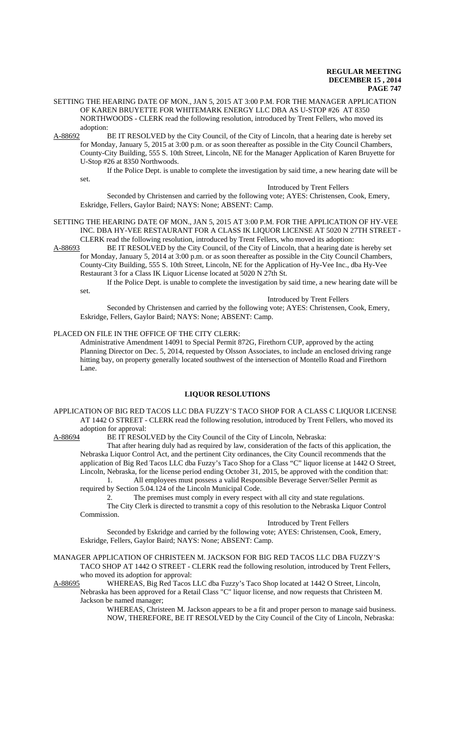#### SETTING THE HEARING DATE OF MON., JAN 5, 2015 AT 3:00 P.M. FOR THE MANAGER APPLICATION OF KAREN BRUYETTE FOR WHITEMARK ENERGY LLC DBA AS U-STOP #26 AT 8350 NORTHWOODS - CLERK read the following resolution, introduced by Trent Fellers, who moved its adoption:

A-88692 BE IT RESOLVED by the City Council, of the City of Lincoln, that a hearing date is hereby set for Monday, January 5, 2015 at 3:00 p.m. or as soon thereafter as possible in the City Council Chambers, County-City Building, 555 S. 10th Street, Lincoln, NE for the Manager Application of Karen Bruyette for U-Stop #26 at 8350 Northwoods.

If the Police Dept. is unable to complete the investigation by said time, a new hearing date will be set.

Introduced by Trent Fellers

Seconded by Christensen and carried by the following vote; AYES: Christensen, Cook, Emery, Eskridge, Fellers, Gaylor Baird; NAYS: None; ABSENT: Camp.

# SETTING THE HEARING DATE OF MON., JAN 5, 2015 AT 3:00 P.M. FOR THE APPLICATION OF HY-VEE INC. DBA HY-VEE RESTAURANT FOR A CLASS IK LIQUOR LICENSE AT 5020 N 27TH STREET -

CLERK read the following resolution, introduced by Trent Fellers, who moved its adoption:<br>A-88693 BE IT RESOLVED by the City Council, of the City of Lincoln, that a hearing date BE IT RESOLVED by the City Council, of the City of Lincoln, that a hearing date is hereby set for Monday, January 5, 2014 at 3:00 p.m. or as soon thereafter as possible in the City Council Chambers, County-City Building, 555 S. 10th Street, Lincoln, NE for the Application of Hy-Vee Inc., dba Hy-Vee

Restaurant 3 for a Class IK Liquor License located at 5020 N 27th St.

If the Police Dept. is unable to complete the investigation by said time, a new hearing date will be set.

Introduced by Trent Fellers

Seconded by Christensen and carried by the following vote; AYES: Christensen, Cook, Emery, Eskridge, Fellers, Gaylor Baird; NAYS: None; ABSENT: Camp.

#### PLACED ON FILE IN THE OFFICE OF THE CITY CLERK:

Administrative Amendment 14091 to Special Permit 872G, Firethorn CUP, approved by the acting Planning Director on Dec. 5, 2014, requested by Olsson Associates, to include an enclosed driving range hitting bay, on property generally located southwest of the intersection of Montello Road and Firethorn Lane.

#### **LIQUOR RESOLUTIONS**

APPLICATION OF BIG RED TACOS LLC DBA FUZZY'S TACO SHOP FOR A CLASS C LIQUOR LICENSE AT 1442 O STREET - CLERK read the following resolution, introduced by Trent Fellers, who moved its adoption for approval:<br>A-88694 BE IT RESOI

BE IT RESOLVED by the City Council of the City of Lincoln, Nebraska:

That after hearing duly had as required by law, consideration of the facts of this application, the Nebraska Liquor Control Act, and the pertinent City ordinances, the City Council recommends that the application of Big Red Tacos LLC dba Fuzzy's Taco Shop for a Class "C" liquor license at 1442 O Street, Lincoln, Nebraska, for the license period ending October 31, 2015, be approved with the condition that:

1. All employees must possess a valid Responsible Beverage Server/Seller Permit as required by Section 5.04.124 of the Lincoln Municipal Code.

2. The premises must comply in every respect with all city and state regulations. The City Clerk is directed to transmit a copy of this resolution to the Nebraska Liquor Control Commission.

#### Introduced by Trent Fellers

Seconded by Eskridge and carried by the following vote; AYES: Christensen, Cook, Emery, Eskridge, Fellers, Gaylor Baird; NAYS: None; ABSENT: Camp.

MANAGER APPLICATION OF CHRISTEEN M. JACKSON FOR BIG RED TACOS LLC DBA FUZZY'S TACO SHOP AT 1442 O STREET - CLERK read the following resolution, introduced by Trent Fellers, who moved its adoption for approval:<br>A-88695 WHEREAS, Big Red Tacos

WHEREAS, Big Red Tacos LLC dba Fuzzy's Taco Shop located at 1442 O Street, Lincoln, Nebraska has been approved for a Retail Class "C" liquor license, and now requests that Christeen M. Jackson be named manager;

WHEREAS, Christeen M. Jackson appears to be a fit and proper person to manage said business. NOW, THEREFORE, BE IT RESOLVED by the City Council of the City of Lincoln, Nebraska: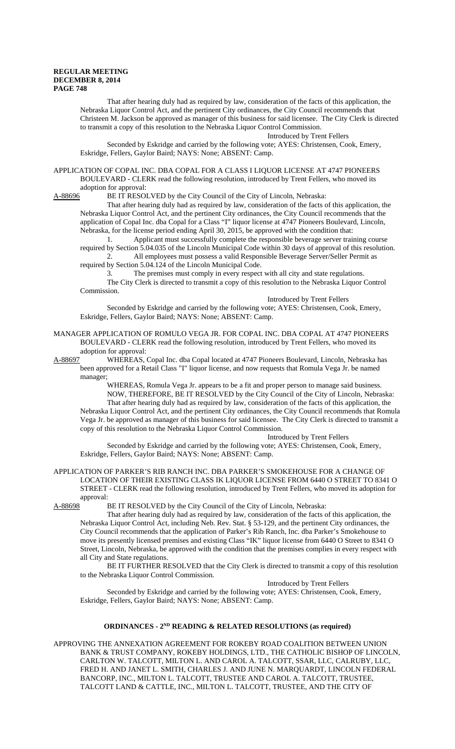That after hearing duly had as required by law, consideration of the facts of this application, the Nebraska Liquor Control Act, and the pertinent City ordinances, the City Council recommends that Christeen M. Jackson be approved as manager of this business for said licensee. The City Clerk is directed to transmit a copy of this resolution to the Nebraska Liquor Control Commission.

Introduced by Trent Fellers

Seconded by Eskridge and carried by the following vote; AYES: Christensen, Cook, Emery, Eskridge, Fellers, Gaylor Baird; NAYS: None; ABSENT: Camp.

APPLICATION OF COPAL INC. DBA COPAL FOR A CLASS I LIQUOR LICENSE AT 4747 PIONEERS BOULEVARD - CLERK read the following resolution, introduced by Trent Fellers, who moved its adoption for approval:<br>A-88696 BE IT RESO

BE IT RESOLVED by the City Council of the City of Lincoln, Nebraska:

That after hearing duly had as required by law, consideration of the facts of this application, the Nebraska Liquor Control Act, and the pertinent City ordinances, the City Council recommends that the application of Copal Inc. dba Copal for a Class "I" liquor license at 4747 Pioneers Boulevard, Lincoln, Nebraska, for the license period ending April 30, 2015, be approved with the condition that:

Applicant must successfully complete the responsible beverage server training course required by Section 5.04.035 of the Lincoln Municipal Code within 30 days of approval of this resolution. 2. All employees must possess a valid Responsible Beverage Server/Seller Permit as required by Section 5.04.124 of the Lincoln Municipal Code.

3. The premises must comply in every respect with all city and state regulations. The City Clerk is directed to transmit a copy of this resolution to the Nebraska Liquor Control

Commission. Introduced by Trent Fellers

Seconded by Eskridge and carried by the following vote; AYES: Christensen, Cook, Emery, Eskridge, Fellers, Gaylor Baird; NAYS: None; ABSENT: Camp.

MANAGER APPLICATION OF ROMULO VEGA JR. FOR COPAL INC. DBA COPAL AT 4747 PIONEERS BOULEVARD - CLERK read the following resolution, introduced by Trent Fellers, who moved its adoption for approval:

A-88697 WHEREAS, Copal Inc. dba Copal located at 4747 Pioneers Boulevard, Lincoln, Nebraska has been approved for a Retail Class "I" liquor license, and now requests that Romula Vega Jr. be named manager;

WHEREAS, Romula Vega Jr. appears to be a fit and proper person to manage said business. NOW, THEREFORE, BE IT RESOLVED by the City Council of the City of Lincoln, Nebraska: That after hearing duly had as required by law, consideration of the facts of this application, the Nebraska Liquor Control Act, and the pertinent City ordinances, the City Council recommends that Romula Vega Jr. be approved as manager of this business for said licensee. The City Clerk is directed to transmit a copy of this resolution to the Nebraska Liquor Control Commission.

Introduced by Trent Fellers

Seconded by Eskridge and carried by the following vote; AYES: Christensen, Cook, Emery, Eskridge, Fellers, Gaylor Baird; NAYS: None; ABSENT: Camp.

APPLICATION OF PARKER'S RIB RANCH INC. DBA PARKER'S SMOKEHOUSE FOR A CHANGE OF LOCATION OF THEIR EXISTING CLASS IK LIQUOR LICENSE FROM 6440 O STREET TO 8341 O STREET - CLERK read the following resolution, introduced by Trent Fellers, who moved its adoption for approval:<br>A-88698 l

BE IT RESOLVED by the City Council of the City of Lincoln, Nebraska:

That after hearing duly had as required by law, consideration of the facts of this application, the Nebraska Liquor Control Act, including Neb. Rev. Stat. § 53-129, and the pertinent City ordinances, the City Council recommends that the application of Parker's Rib Ranch, Inc. dba Parker's Smokehouse to move its presently licensed premises and existing Class "IK" liquor license from 6440 O Street to 8341 O Street, Lincoln, Nebraska, be approved with the condition that the premises complies in every respect with all City and State regulations.

BE IT FURTHER RESOLVED that the City Clerk is directed to transmit a copy of this resolution to the Nebraska Liquor Control Commission.

Introduced by Trent Fellers

Seconded by Eskridge and carried by the following vote; AYES: Christensen, Cook, Emery, Eskridge, Fellers, Gaylor Baird; NAYS: None; ABSENT: Camp.

## **ORDINANCES - 2<sup>ND</sup> READING & RELATED RESOLUTIONS (as required)**

APPROVING THE ANNEXATION AGREEMENT FOR ROKEBY ROAD COALITION BETWEEN UNION BANK & TRUST COMPANY, ROKEBY HOLDINGS, LTD., THE CATHOLIC BISHOP OF LINCOLN, CARLTON W. TALCOTT, MILTON L. AND CAROL A. TALCOTT, SSAR, LLC, CALRUBY, LLC, FRED H. AND JANET L. SMITH, CHARLES J. AND JUNE N. MARQUARDT, LINCOLN FEDERAL BANCORP, INC., MILTON L. TALCOTT, TRUSTEE AND CAROL A. TALCOTT, TRUSTEE, TALCOTT LAND & CATTLE, INC., MILTON L. TALCOTT, TRUSTEE, AND THE CITY OF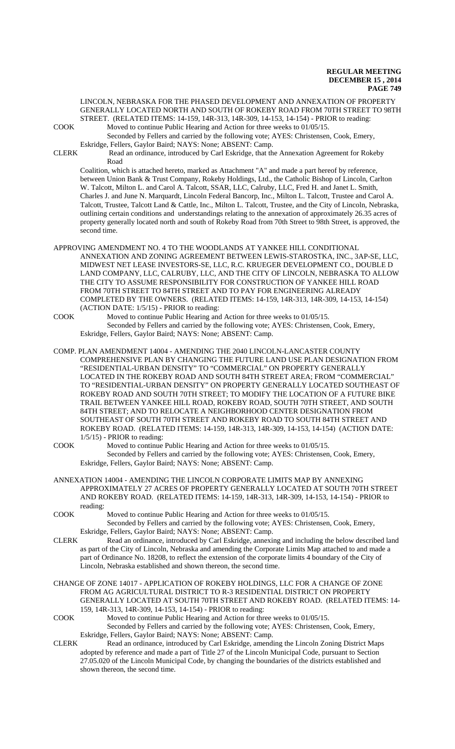LINCOLN, NEBRASKA FOR THE PHASED DEVELOPMENT AND ANNEXATION OF PROPERTY GENERALLY LOCATED NORTH AND SOUTH OF ROKEBY ROAD FROM 70TH STREET TO 98TH STREET. (RELATED ITEMS: 14-159, 14R-313, 14R-309, 14-153, 14-154) - PRIOR to reading: COOK Moved to continue Public Hearing and Action for three weeks to 01/05/15.

Seconded by Fellers and carried by the following vote; AYES: Christensen, Cook, Emery, Eskridge, Fellers, Gaylor Baird; NAYS: None; ABSENT: Camp.

CLERK Read an ordinance, introduced by Carl Eskridge, that the Annexation Agreement for Rokeby Road

Coalition, which is attached hereto, marked as Attachment "A" and made a part hereof by reference, between Union Bank & Trust Company, Rokeby Holdings, Ltd., the Catholic Bishop of Lincoln, Carlton W. Talcott, Milton L. and Carol A. Talcott, SSAR, LLC, Calruby, LLC, Fred H. and Janet L. Smith, Charles J. and June N. Marquardt, Lincoln Federal Bancorp, Inc., Milton L. Talcott, Trustee and Carol A. Talcott, Trustee, Talcott Land & Cattle, Inc., Milton L. Talcott, Trustee, and the City of Lincoln, Nebraska, outlining certain conditions and understandings relating to the annexation of approximately 26.35 acres of property generally located north and south of Rokeby Road from 70th Street to 98th Street, is approved, the second time.

- APPROVING AMENDMENT NO. 4 TO THE WOODLANDS AT YANKEE HILL CONDITIONAL ANNEXATION AND ZONING AGREEMENT BETWEEN LEWIS-STAROSTKA, INC., 3AP-SE, LLC, MIDWEST NET LEASE INVESTORS-SE, LLC, R.C. KRUEGER DEVELOPMENT CO., DOUBLE D LAND COMPANY, LLC, CALRUBY, LLC, AND THE CITY OF LINCOLN, NEBRASKA TO ALLOW THE CITY TO ASSUME RESPONSIBILITY FOR CONSTRUCTION OF YANKEE HILL ROAD FROM 70TH STREET TO 84TH STREET AND TO PAY FOR ENGINEERING ALREADY COMPLETED BY THE OWNERS. (RELATED ITEMS: 14-159, 14R-313, 14R-309, 14-153, 14-154) (ACTION DATE: 1/5/15) - PRIOR to reading:
- COOK Moved to continue Public Hearing and Action for three weeks to 01/05/15. Seconded by Fellers and carried by the following vote; AYES: Christensen, Cook, Emery, Eskridge, Fellers, Gaylor Baird; NAYS: None; ABSENT: Camp.
- COMP. PLAN AMENDMENT 14004 AMENDING THE 2040 LINCOLN-LANCASTER COUNTY COMPREHENSIVE PLAN BY CHANGING THE FUTURE LAND USE PLAN DESIGNATION FROM "RESIDENTIAL-URBAN DENSITY" TO "COMMERCIAL" ON PROPERTY GENERALLY LOCATED IN THE ROKEBY ROAD AND SOUTH 84TH STREET AREA; FROM "COMMERCIAL" TO "RESIDENTIAL-URBAN DENSITY" ON PROPERTY GENERALLY LOCATED SOUTHEAST OF ROKEBY ROAD AND SOUTH 70TH STREET; TO MODIFY THE LOCATION OF A FUTURE BIKE TRAIL BETWEEN YANKEE HILL ROAD, ROKEBY ROAD, SOUTH 70TH STREET, AND SOUTH 84TH STREET; AND TO RELOCATE A NEIGHBORHOOD CENTER DESIGNATION FROM SOUTHEAST OF SOUTH 70TH STREET AND ROKEBY ROAD TO SOUTH 84TH STREET AND ROKEBY ROAD. (RELATED ITEMS: 14-159, 14R-313, 14R-309, 14-153, 14-154) (ACTION DATE: 1/5/15) - PRIOR to reading:
- COOK Moved to continue Public Hearing and Action for three weeks to 01/05/15. Seconded by Fellers and carried by the following vote; AYES: Christensen, Cook, Emery, Eskridge, Fellers, Gaylor Baird; NAYS: None; ABSENT: Camp.
- ANNEXATION 14004 AMENDING THE LINCOLN CORPORATE LIMITS MAP BY ANNEXING APPROXIMATELY 27 ACRES OF PROPERTY GENERALLY LOCATED AT SOUTH 70TH STREET AND ROKEBY ROAD. (RELATED ITEMS: 14-159, 14R-313, 14R-309, 14-153, 14-154) - PRIOR to reading:
- COOK Moved to continue Public Hearing and Action for three weeks to 01/05/15. Seconded by Fellers and carried by the following vote; AYES: Christensen, Cook, Emery, Eskridge, Fellers, Gaylor Baird; NAYS: None; ABSENT: Camp.
- CLERK Read an ordinance, introduced by Carl Eskridge, annexing and including the below described land as part of the City of Lincoln, Nebraska and amending the Corporate Limits Map attached to and made a part of Ordinance No. 18208, to reflect the extension of the corporate limits 4 boundary of the City of Lincoln, Nebraska established and shown thereon, the second time.
- CHANGE OF ZONE 14017 APPLICATION OF ROKEBY HOLDINGS, LLC FOR A CHANGE OF ZONE FROM AG AGRICULTURAL DISTRICT TO R-3 RESIDENTIAL DISTRICT ON PROPERTY GENERALLY LOCATED AT SOUTH 70TH STREET AND ROKEBY ROAD. (RELATED ITEMS: 14- 159, 14R-313, 14R-309, 14-153, 14-154) - PRIOR to reading:
- COOK Moved to continue Public Hearing and Action for three weeks to 01/05/15. Seconded by Fellers and carried by the following vote; AYES: Christensen, Cook, Emery, Eskridge, Fellers, Gaylor Baird; NAYS: None; ABSENT: Camp.
- CLERK Read an ordinance, introduced by Carl Eskridge, amending the Lincoln Zoning District Maps adopted by reference and made a part of Title 27 of the Lincoln Municipal Code, pursuant to Section 27.05.020 of the Lincoln Municipal Code, by changing the boundaries of the districts established and shown thereon, the second time.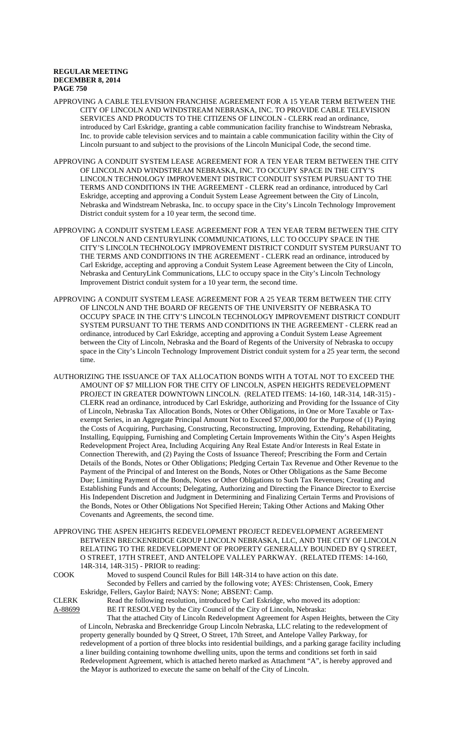- APPROVING A CABLE TELEVISION FRANCHISE AGREEMENT FOR A 15 YEAR TERM BETWEEN THE CITY OF LINCOLN AND WINDSTREAM NEBRASKA, INC. TO PROVIDE CABLE TELEVISION SERVICES AND PRODUCTS TO THE CITIZENS OF LINCOLN - CLERK read an ordinance, introduced by Carl Eskridge, granting a cable communication facility franchise to Windstream Nebraska, Inc. to provide cable television services and to maintain a cable communication facility within the City of Lincoln pursuant to and subject to the provisions of the Lincoln Municipal Code, the second time.
- APPROVING A CONDUIT SYSTEM LEASE AGREEMENT FOR A TEN YEAR TERM BETWEEN THE CITY OF LINCOLN AND WINDSTREAM NEBRASKA, INC. TO OCCUPY SPACE IN THE CITY'S LINCOLN TECHNOLOGY IMPROVEMENT DISTRICT CONDUIT SYSTEM PURSUANT TO THE TERMS AND CONDITIONS IN THE AGREEMENT - CLERK read an ordinance, introduced by Carl Eskridge, accepting and approving a Conduit System Lease Agreement between the City of Lincoln, Nebraska and Windstream Nebraska, Inc. to occupy space in the City's Lincoln Technology Improvement District conduit system for a 10 year term, the second time.
- APPROVING A CONDUIT SYSTEM LEASE AGREEMENT FOR A TEN YEAR TERM BETWEEN THE CITY OF LINCOLN AND CENTURYLINK COMMUNICATIONS, LLC TO OCCUPY SPACE IN THE CITY'S LINCOLN TECHNOLOGY IMPROVEMENT DISTRICT CONDUIT SYSTEM PURSUANT TO THE TERMS AND CONDITIONS IN THE AGREEMENT - CLERK read an ordinance, introduced by Carl Eskridge, accepting and approving a Conduit System Lease Agreement between the City of Lincoln, Nebraska and CenturyLink Communications, LLC to occupy space in the City's Lincoln Technology Improvement District conduit system for a 10 year term, the second time.
- APPROVING A CONDUIT SYSTEM LEASE AGREEMENT FOR A 25 YEAR TERM BETWEEN THE CITY OF LINCOLN AND THE BOARD OF REGENTS OF THE UNIVERSITY OF NEBRASKA TO OCCUPY SPACE IN THE CITY'S LINCOLN TECHNOLOGY IMPROVEMENT DISTRICT CONDUIT SYSTEM PURSUANT TO THE TERMS AND CONDITIONS IN THE AGREEMENT - CLERK read an ordinance, introduced by Carl Eskridge, accepting and approving a Conduit System Lease Agreement between the City of Lincoln, Nebraska and the Board of Regents of the University of Nebraska to occupy space in the City's Lincoln Technology Improvement District conduit system for a 25 year term, the second time.
- AUTHORIZING THE ISSUANCE OF TAX ALLOCATION BONDS WITH A TOTAL NOT TO EXCEED THE AMOUNT OF \$7 MILLION FOR THE CITY OF LINCOLN, ASPEN HEIGHTS REDEVELOPMENT PROJECT IN GREATER DOWNTOWN LINCOLN. (RELATED ITEMS: 14-160, 14R-314, 14R-315) -CLERK read an ordinance, introduced by Carl Eskridge, authorizing and Providing for the Issuance of City of Lincoln, Nebraska Tax Allocation Bonds, Notes or Other Obligations, in One or More Taxable or Taxexempt Series, in an Aggregate Principal Amount Not to Exceed \$7,000,000 for the Purpose of (1) Paying the Costs of Acquiring, Purchasing, Constructing, Reconstructing, Improving, Extending, Rehabilitating, Installing, Equipping, Furnishing and Completing Certain Improvements Within the City's Aspen Heights Redevelopment Project Area, Including Acquiring Any Real Estate And/or Interests in Real Estate in Connection Therewith, and (2) Paying the Costs of Issuance Thereof; Prescribing the Form and Certain Details of the Bonds, Notes or Other Obligations; Pledging Certain Tax Revenue and Other Revenue to the Payment of the Principal of and Interest on the Bonds, Notes or Other Obligations as the Same Become Due; Limiting Payment of the Bonds, Notes or Other Obligations to Such Tax Revenues; Creating and Establishing Funds and Accounts; Delegating, Authorizing and Directing the Finance Director to Exercise His Independent Discretion and Judgment in Determining and Finalizing Certain Terms and Provisions of the Bonds, Notes or Other Obligations Not Specified Herein; Taking Other Actions and Making Other Covenants and Agreements, the second time.
- APPROVING THE ASPEN HEIGHTS REDEVELOPMENT PROJECT REDEVELOPMENT AGREEMENT BETWEEN BRECKENRIDGE GROUP LINCOLN NEBRASKA, LLC, AND THE CITY OF LINCOLN RELATING TO THE REDEVELOPMENT OF PROPERTY GENERALLY BOUNDED BY Q STREET, O STREET, 17TH STREET, AND ANTELOPE VALLEY PARKWAY. (RELATED ITEMS: 14-160, 14R-314, 14R-315) - PRIOR to reading:

COOK Moved to suspend Council Rules for Bill 14R-314 to have action on this date. Seconded by Fellers and carried by the following vote; AYES: Christensen, Cook, Emery Eskridge, Fellers, Gaylor Baird; NAYS: None; ABSENT: Camp.

CLERK Read the following resolution, introduced by Carl Eskridge, who moved its adoption: A-88699 BE IT RESOLVED by the City Council of the City of Lincoln, Nebraska:

That the attached City of Lincoln Redevelopment Agreement for Aspen Heights, between the City of Lincoln, Nebraska and Breckenridge Group Lincoln Nebraska, LLC relating to the redevelopment of property generally bounded by Q Street, O Street, 17th Street, and Antelope Valley Parkway, for redevelopment of a portion of three blocks into residential buildings, and a parking garage facility including a liner building containing townhome dwelling units, upon the terms and conditions set forth in said Redevelopment Agreement, which is attached hereto marked as Attachment "A", is hereby approved and the Mayor is authorized to execute the same on behalf of the City of Lincoln.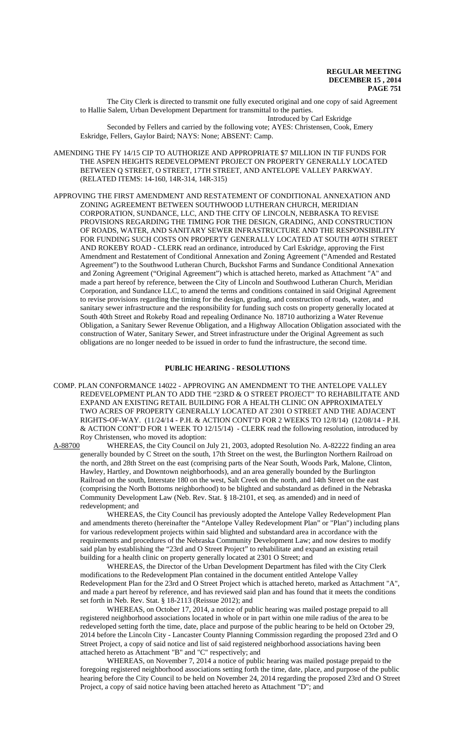The City Clerk is directed to transmit one fully executed original and one copy of said Agreement to Hallie Salem, Urban Development Department for transmittal to the parties.

Introduced by Carl Eskridge Seconded by Fellers and carried by the following vote; AYES: Christensen, Cook, Emery Eskridge, Fellers, Gaylor Baird; NAYS: None; ABSENT: Camp.

- AMENDING THE FY 14/15 CIP TO AUTHORIZE AND APPROPRIATE \$7 MILLION IN TIF FUNDS FOR THE ASPEN HEIGHTS REDEVELOPMENT PROJECT ON PROPERTY GENERALLY LOCATED BETWEEN Q STREET, O STREET, 17TH STREET, AND ANTELOPE VALLEY PARKWAY. (RELATED ITEMS: 14-160, 14R-314, 14R-315)
- APPROVING THE FIRST AMENDMENT AND RESTATEMENT OF CONDITIONAL ANNEXATION AND ZONING AGREEMENT BETWEEN SOUTHWOOD LUTHERAN CHURCH, MERIDIAN CORPORATION, SUNDANCE, LLC, AND THE CITY OF LINCOLN, NEBRASKA TO REVISE PROVISIONS REGARDING THE TIMING FOR THE DESIGN, GRADING, AND CONSTRUCTION OF ROADS, WATER, AND SANITARY SEWER INFRASTRUCTURE AND THE RESPONSIBILITY FOR FUNDING SUCH COSTS ON PROPERTY GENERALLY LOCATED AT SOUTH 40TH STREET AND ROKEBY ROAD - CLERK read an ordinance, introduced by Carl Eskridge, approving the First Amendment and Restatement of Conditional Annexation and Zoning Agreement ("Amended and Restated Agreement") to the Southwood Lutheran Church, Buckshot Farms and Sundance Conditional Annexation and Zoning Agreement ("Original Agreement") which is attached hereto, marked as Attachment "A" and made a part hereof by reference, between the City of Lincoln and Southwood Lutheran Church, Meridian Corporation, and Sundance LLC, to amend the terms and conditions contained in said Original Agreement to revise provisions regarding the timing for the design, grading, and construction of roads, water, and sanitary sewer infrastructure and the responsibility for funding such costs on property generally located at South 40th Street and Rokeby Road and repealing Ordinance No. 18710 authorizing a Water Revenue Obligation, a Sanitary Sewer Revenue Obligation, and a Highway Allocation Obligation associated with the construction of Water, Sanitary Sewer, and Street infrastructure under the Original Agreement as such obligations are no longer needed to be issued in order to fund the infrastructure, the second time.

#### **PUBLIC HEARING - RESOLUTIONS**

COMP. PLAN CONFORMANCE 14022 - APPROVING AN AMENDMENT TO THE ANTELOPE VALLEY REDEVELOPMENT PLAN TO ADD THE "23RD & O STREET PROJECT" TO REHABILITATE AND EXPAND AN EXISTING RETAIL BUILDING FOR A HEALTH CLINIC ON APPROXIMATELY TWO ACRES OF PROPERTY GENERALLY LOCATED AT 2301 O STREET AND THE ADJACENT RIGHTS-OF-WAY. (11/24/14 - P.H. & ACTION CONT'D FOR 2 WEEKS TO 12/8/14) (12/08/14 - P.H. & ACTION CONT'D FOR 1 WEEK TO 12/15/14) - CLERK read the following resolution, introduced by Roy Christensen, who moved its adoption:<br>A-88700 WHEREAS, the City Council on

WHEREAS, the City Council on July 21, 2003, adopted Resolution No. A-82222 finding an area generally bounded by C Street on the south, 17th Street on the west, the Burlington Northern Railroad on the north, and 28th Street on the east (comprising parts of the Near South, Woods Park, Malone, Clinton, Hawley, Hartley, and Downtown neighborhoods), and an area generally bounded by the Burlington Railroad on the south, Interstate 180 on the west, Salt Creek on the north, and 14th Street on the east (comprising the North Bottoms neighborhood) to be blighted and substandard as defined in the Nebraska Community Development Law (Neb. Rev. Stat. § 18-2101, et seq. as amended) and in need of redevelopment; and

WHEREAS, the City Council has previously adopted the Antelope Valley Redevelopment Plan and amendments thereto (hereinafter the "Antelope Valley Redevelopment Plan" or "Plan") including plans for various redevelopment projects within said blighted and substandard area in accordance with the requirements and procedures of the Nebraska Community Development Law; and now desires to modify said plan by establishing the "23rd and O Street Project" to rehabilitate and expand an existing retail building for a health clinic on property generally located at 2301 O Street; and

WHEREAS, the Director of the Urban Development Department has filed with the City Clerk modifications to the Redevelopment Plan contained in the document entitled Antelope Valley Redevelopment Plan for the 23rd and O Street Project which is attached hereto, marked as Attachment "A", and made a part hereof by reference, and has reviewed said plan and has found that it meets the conditions set forth in Neb. Rev. Stat. § 18-2113 (Reissue 2012); and

WHEREAS, on October 17, 2014, a notice of public hearing was mailed postage prepaid to all registered neighborhood associations located in whole or in part within one mile radius of the area to be redeveloped setting forth the time, date, place and purpose of the public hearing to be held on October 29, 2014 before the Lincoln City - Lancaster County Planning Commission regarding the proposed 23rd and O Street Project, a copy of said notice and list of said registered neighborhood associations having been attached hereto as Attachment "B" and "C" respectively; and

WHEREAS, on November 7, 2014 a notice of public hearing was mailed postage prepaid to the foregoing registered neighborhood associations setting forth the time, date, place, and purpose of the public hearing before the City Council to be held on November 24, 2014 regarding the proposed 23rd and O Street Project, a copy of said notice having been attached hereto as Attachment "D"; and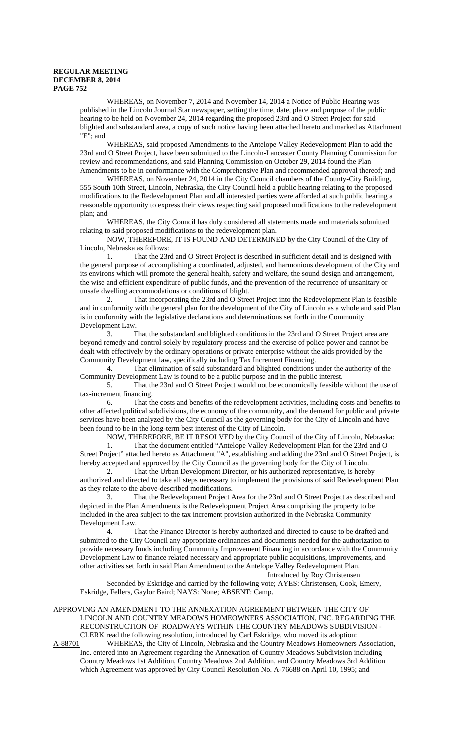WHEREAS, on November 7, 2014 and November 14, 2014 a Notice of Public Hearing was published in the Lincoln Journal Star newspaper, setting the time, date, place and purpose of the public hearing to be held on November 24, 2014 regarding the proposed 23rd and O Street Project for said blighted and substandard area, a copy of such notice having been attached hereto and marked as Attachment "E"; and

WHEREAS, said proposed Amendments to the Antelope Valley Redevelopment Plan to add the 23rd and O Street Project, have been submitted to the Lincoln-Lancaster County Planning Commission for review and recommendations, and said Planning Commission on October 29, 2014 found the Plan Amendments to be in conformance with the Comprehensive Plan and recommended approval thereof; and

WHEREAS, on November 24, 2014 in the City Council chambers of the County-City Building, 555 South 10th Street, Lincoln, Nebraska, the City Council held a public hearing relating to the proposed modifications to the Redevelopment Plan and all interested parties were afforded at such public hearing a reasonable opportunity to express their views respecting said proposed modifications to the redevelopment plan; and

WHEREAS, the City Council has duly considered all statements made and materials submitted relating to said proposed modifications to the redevelopment plan.

NOW, THEREFORE, IT IS FOUND AND DETERMINED by the City Council of the City of Lincoln, Nebraska as follows:

1. That the 23rd and O Street Project is described in sufficient detail and is designed with the general purpose of accomplishing a coordinated, adjusted, and harmonious development of the City and its environs which will promote the general health, safety and welfare, the sound design and arrangement, the wise and efficient expenditure of public funds, and the prevention of the recurrence of unsanitary or unsafe dwelling accommodations or conditions of blight.

2. That incorporating the 23rd and O Street Project into the Redevelopment Plan is feasible and in conformity with the general plan for the development of the City of Lincoln as a whole and said Plan is in conformity with the legislative declarations and determinations set forth in the Community Development Law.

3. That the substandard and blighted conditions in the 23rd and O Street Project area are beyond remedy and control solely by regulatory process and the exercise of police power and cannot be dealt with effectively by the ordinary operations or private enterprise without the aids provided by the Community Development law, specifically including Tax Increment Financing.

4. That elimination of said substandard and blighted conditions under the authority of the Community Development Law is found to be a public purpose and in the public interest.

5. That the 23rd and O Street Project would not be economically feasible without the use of tax-increment financing.

6. That the costs and benefits of the redevelopment activities, including costs and benefits to other affected political subdivisions, the economy of the community, and the demand for public and private services have been analyzed by the City Council as the governing body for the City of Lincoln and have been found to be in the long-term best interest of the City of Lincoln.

NOW, THEREFORE, BE IT RESOLVED by the City Council of the City of Lincoln, Nebraska:

1. That the document entitled "Antelope Valley Redevelopment Plan for the 23rd and O Street Project" attached hereto as Attachment "A", establishing and adding the 23rd and O Street Project, is hereby accepted and approved by the City Council as the governing body for the City of Lincoln.

2. That the Urban Development Director, or his authorized representative, is hereby authorized and directed to take all steps necessary to implement the provisions of said Redevelopment Plan as they relate to the above-described modifications.

3. That the Redevelopment Project Area for the 23rd and O Street Project as described and depicted in the Plan Amendments is the Redevelopment Project Area comprising the property to be included in the area subject to the tax increment provision authorized in the Nebraska Community Development Law.

4. That the Finance Director is hereby authorized and directed to cause to be drafted and submitted to the City Council any appropriate ordinances and documents needed for the authorization to provide necessary funds including Community Improvement Financing in accordance with the Community Development Law to finance related necessary and appropriate public acquisitions, improvements, and other activities set forth in said Plan Amendment to the Antelope Valley Redevelopment Plan. Introduced by Roy Christensen

Seconded by Eskridge and carried by the following vote; AYES: Christensen, Cook, Emery, Eskridge, Fellers, Gaylor Baird; NAYS: None; ABSENT: Camp.

APPROVING AN AMENDMENT TO THE ANNEXATION AGREEMENT BETWEEN THE CITY OF LINCOLN AND COUNTRY MEADOWS HOMEOWNERS ASSOCIATION, INC. REGARDING THE RECONSTRUCTION OF ROADWAYS WITHIN THE COUNTRY MEADOWS SUBDIVISION - CLERK read the following resolution, introduced by Carl Eskridge, who moved its adoption:

A-88701 WHEREAS, the City of Lincoln, Nebraska and the Country Meadows Homeowners Association, Inc. entered into an Agreement regarding the Annexation of Country Meadows Subdivision including Country Meadows 1st Addition, Country Meadows 2nd Addition, and Country Meadows 3rd Addition which Agreement was approved by City Council Resolution No. A-76688 on April 10, 1995; and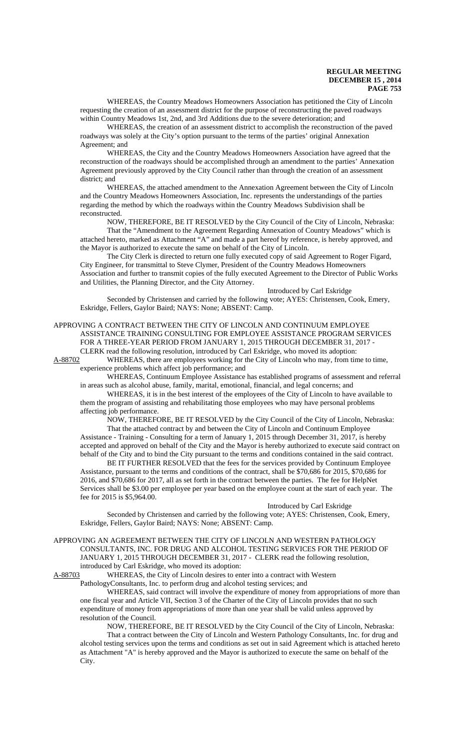WHEREAS, the Country Meadows Homeowners Association has petitioned the City of Lincoln requesting the creation of an assessment district for the purpose of reconstructing the paved roadways within Country Meadows 1st, 2nd, and 3rd Additions due to the severe deterioration; and

WHEREAS, the creation of an assessment district to accomplish the reconstruction of the paved roadways was solely at the City's option pursuant to the terms of the parties' original Annexation Agreement; and

WHEREAS, the City and the Country Meadows Homeowners Association have agreed that the reconstruction of the roadways should be accomplished through an amendment to the parties' Annexation Agreement previously approved by the City Council rather than through the creation of an assessment district; and

WHEREAS, the attached amendment to the Annexation Agreement between the City of Lincoln and the Country Meadows Homeowners Association, Inc. represents the understandings of the parties regarding the method by which the roadways within the Country Meadows Subdivision shall be reconstructed.

NOW, THEREFORE, BE IT RESOLVED by the City Council of the City of Lincoln, Nebraska: That the "Amendment to the Agreement Regarding Annexation of Country Meadows" which is attached hereto, marked as Attachment "A" and made a part hereof by reference, is hereby approved, and the Mayor is authorized to execute the same on behalf of the City of Lincoln.

The City Clerk is directed to return one fully executed copy of said Agreement to Roger Figard, City Engineer, for transmittal to Steve Clymer, President of the Country Meadows Homeowners Association and further to transmit copies of the fully executed Agreement to the Director of Public Works and Utilities, the Planning Director, and the City Attorney.

Introduced by Carl Eskridge

Seconded by Christensen and carried by the following vote; AYES: Christensen, Cook, Emery, Eskridge, Fellers, Gaylor Baird; NAYS: None; ABSENT: Camp.

### APPROVING A CONTRACT BETWEEN THE CITY OF LINCOLN AND CONTINUUM EMPLOYEE ASSISTANCE TRAINING CONSULTING FOR EMPLOYEE ASSISTANCE PROGRAM SERVICES FOR A THREE-YEAR PERIOD FROM JANUARY 1, 2015 THROUGH DECEMBER 31, 2017 -

CLERK read the following resolution, introduced by Carl Eskridge, who moved its adoption:

A-88702 WHEREAS, there are employees working for the City of Lincoln who may, from time to time, experience problems which affect job performance; and

WHEREAS, Continuum Employee Assistance has established programs of assessment and referral in areas such as alcohol abuse, family, marital, emotional, financial, and legal concerns; and

WHEREAS, it is in the best interest of the employees of the City of Lincoln to have available to them the program of assisting and rehabilitating those employees who may have personal problems affecting job performance.

NOW, THEREFORE, BE IT RESOLVED by the City Council of the City of Lincoln, Nebraska: That the attached contract by and between the City of Lincoln and Continuum Employee Assistance - Training - Consulting for a term of January 1, 2015 through December 31, 2017, is hereby accepted and approved on behalf of the City and the Mayor is hereby authorized to execute said contract on behalf of the City and to bind the City pursuant to the terms and conditions contained in the said contract.

BE IT FURTHER RESOLVED that the fees for the services provided by Continuum Employee Assistance, pursuant to the terms and conditions of the contract, shall be \$70,686 for 2015, \$70,686 for 2016, and \$70,686 for 2017, all as set forth in the contract between the parties. The fee for HelpNet Services shall be \$3.00 per employee per year based on the employee count at the start of each year. The fee for 2015 is \$5,964.00.

#### Introduced by Carl Eskridge

Seconded by Christensen and carried by the following vote; AYES: Christensen, Cook, Emery, Eskridge, Fellers, Gaylor Baird; NAYS: None; ABSENT: Camp.

APPROVING AN AGREEMENT BETWEEN THE CITY OF LINCOLN AND WESTERN PATHOLOGY CONSULTANTS, INC. FOR DRUG AND ALCOHOL TESTING SERVICES FOR THE PERIOD OF JANUARY 1, 2015 THROUGH DECEMBER 31, 2017 - CLERK read the following resolution, introduced by Carl Eskridge, who moved its adoption:

A-88703 WHEREAS, the City of Lincoln desires to enter into a contract with Western PathologyConsultants, Inc. to perform drug and alcohol testing services; and

WHEREAS, said contract will involve the expenditure of money from appropriations of more than one fiscal year and Article VII, Section 3 of the Charter of the City of Lincoln provides that no such expenditure of money from appropriations of more than one year shall be valid unless approved by resolution of the Council.

NOW, THEREFORE, BE IT RESOLVED by the City Council of the City of Lincoln, Nebraska: That a contract between the City of Lincoln and Western Pathology Consultants, Inc. for drug and alcohol testing services upon the terms and conditions as set out in said Agreement which is attached hereto as Attachment "A" is hereby approved and the Mayor is authorized to execute the same on behalf of the City.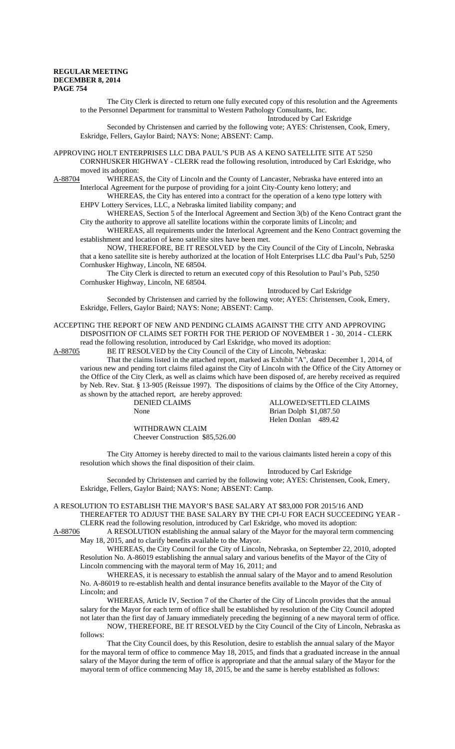The City Clerk is directed to return one fully executed copy of this resolution and the Agreements to the Personnel Department for transmittal to Western Pathology Consultants, Inc.

Introduced by Carl Eskridge Seconded by Christensen and carried by the following vote; AYES: Christensen, Cook, Emery, Eskridge, Fellers, Gaylor Baird; NAYS: None; ABSENT: Camp.

APPROVING HOLT ENTERPRISES LLC DBA PAUL'S PUB AS A KENO SATELLITE SITE AT 5250 CORNHUSKER HIGHWAY - CLERK read the following resolution, introduced by Carl Eskridge, who moved its adoption:

A-88704 WHEREAS, the City of Lincoln and the County of Lancaster, Nebraska have entered into an Interlocal Agreement for the purpose of providing for a joint City-County keno lottery; and

WHEREAS, the City has entered into a contract for the operation of a keno type lottery with EHPV Lottery Services, LLC, a Nebraska limited liability company; and

WHEREAS, Section 5 of the Interlocal Agreement and Section 3(b) of the Keno Contract grant the City the authority to approve all satellite locations within the corporate limits of Lincoln; and

WHEREAS, all requirements under the Interlocal Agreement and the Keno Contract governing the establishment and location of keno satellite sites have been met.

NOW, THEREFORE, BE IT RESOLVED by the City Council of the City of Lincoln, Nebraska that a keno satellite site is hereby authorized at the location of Holt Enterprises LLC dba Paul's Pub, 5250 Cornhusker Highway, Lincoln, NE 68504.

The City Clerk is directed to return an executed copy of this Resolution to Paul's Pub, 5250 Cornhusker Highway, Lincoln, NE 68504.

Introduced by Carl Eskridge

Seconded by Christensen and carried by the following vote; AYES: Christensen, Cook, Emery, Eskridge, Fellers, Gaylor Baird; NAYS: None; ABSENT: Camp.

ACCEPTING THE REPORT OF NEW AND PENDING CLAIMS AGAINST THE CITY AND APPROVING DISPOSITION OF CLAIMS SET FORTH FOR THE PERIOD OF NOVEMBER 1 - 30, 2014 - CLERK

read the following resolution, introduced by Carl Eskridge, who moved its adoption:<br>A-88705 BE IT RESOLVED by the City Council of the City of Lincoln, Nebraska: BE IT RESOLVED by the City Council of the City of Lincoln, Nebraska:

That the claims listed in the attached report, marked as Exhibit "A", dated December 1, 2014, of various new and pending tort claims filed against the City of Lincoln with the Office of the City Attorney or the Office of the City Clerk, as well as claims which have been disposed of, are hereby received as required by Neb. Rev. Stat. § 13-905 (Reissue 1997). The dispositions of claims by the Office of the City Attorney, as shown by the attached report, are hereby approved:

ALLOWED/SETTLED CLAIMS None Brian Dolph \$1,087.50 Helen Donlan 489.42

WITHDRAWN CLAIM Cheever Construction \$85,526.00

The City Attorney is hereby directed to mail to the various claimants listed herein a copy of this resolution which shows the final disposition of their claim.

Introduced by Carl Eskridge

Seconded by Christensen and carried by the following vote; AYES: Christensen, Cook, Emery, Eskridge, Fellers, Gaylor Baird; NAYS: None; ABSENT: Camp.

# A RESOLUTION TO ESTABLISH THE MAYOR'S BASE SALARY AT \$83,000 FOR 2015/16 AND THEREAFTER TO ADJUST THE BASE SALARY BY THE CPI-U FOR EACH SUCCEEDING YEAR - CLERK read the following resolution, introduced by Carl Eskridge, who moved its adoption:

A-88706 A RESOLUTION establishing the annual salary of the Mayor for the mayoral term commencing May 18, 2015, and to clarify benefits available to the Mayor.

WHEREAS, the City Council for the City of Lincoln, Nebraska, on September 22, 2010, adopted Resolution No. A-86019 establishing the annual salary and various benefits of the Mayor of the City of Lincoln commencing with the mayoral term of May 16, 2011; and

WHEREAS, it is necessary to establish the annual salary of the Mayor and to amend Resolution No. A-86019 to re-establish health and dental insurance benefits available to the Mayor of the City of Lincoln; and

WHEREAS, Article IV, Section 7 of the Charter of the City of Lincoln provides that the annual salary for the Mayor for each term of office shall be established by resolution of the City Council adopted not later than the first day of January immediately preceding the beginning of a new mayoral term of office. NOW, THEREFORE, BE IT RESOLVED by the City Council of the City of Lincoln, Nebraska as

follows:

That the City Council does, by this Resolution, desire to establish the annual salary of the Mayor for the mayoral term of office to commence May 18, 2015, and finds that a graduated increase in the annual salary of the Mayor during the term of office is appropriate and that the annual salary of the Mayor for the mayoral term of office commencing May 18, 2015, be and the same is hereby established as follows: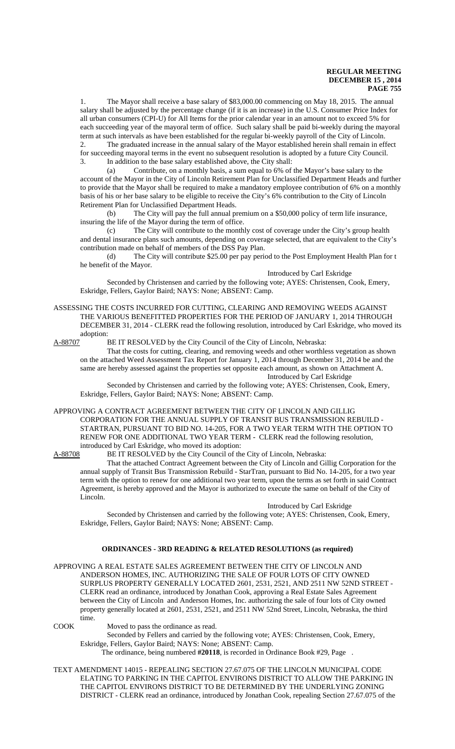1. The Mayor shall receive a base salary of \$83,000.00 commencing on May 18, 2015. The annual salary shall be adjusted by the percentage change (if it is an increase) in the U.S. Consumer Price Index for all urban consumers (CPI-U) for All Items for the prior calendar year in an amount not to exceed 5% for each succeeding year of the mayoral term of office. Such salary shall be paid bi-weekly during the mayoral term at such intervals as have been established for the regular bi-weekly payroll of the City of Lincoln. 2. The graduated increase in the annual salary of the Mayor established herein shall remain in effect for succeeding mayoral terms in the event no subsequent resolution is adopted by a future City Council.

3. In addition to the base salary established above, the City shall:

(a) Contribute, on a monthly basis, a sum equal to 6% of the Mayor's base salary to the account of the Mayor in the City of Lincoln Retirement Plan for Unclassified Department Heads and further to provide that the Mayor shall be required to make a mandatory employee contribution of 6% on a monthly basis of his or her base salary to be eligible to receive the City's 6% contribution to the City of Lincoln Retirement Plan for Unclassified Department Heads.

(b) The City will pay the full annual premium on a \$50,000 policy of term life insurance, insuring the life of the Mayor during the term of office.

(c) The City will contribute to the monthly cost of coverage under the City's group health and dental insurance plans such amounts, depending on coverage selected, that are equivalent to the City's contribution made on behalf of members of the DSS Pay Plan.

(d) The City will contribute \$25.00 per pay period to the Post Employment Health Plan for t he benefit of the Mayor.

Introduced by Carl Eskridge

Seconded by Christensen and carried by the following vote; AYES: Christensen, Cook, Emery, Eskridge, Fellers, Gaylor Baird; NAYS: None; ABSENT: Camp.

ASSESSING THE COSTS INCURRED FOR CUTTING, CLEARING AND REMOVING WEEDS AGAINST THE VARIOUS BENEFITTED PROPERTIES FOR THE PERIOD OF JANUARY 1, 2014 THROUGH DECEMBER 31, 2014 - CLERK read the following resolution, introduced by Carl Eskridge, who moved its adoption:

A-88707 BE IT RESOLVED by the City Council of the City of Lincoln, Nebraska:

That the costs for cutting, clearing, and removing weeds and other worthless vegetation as shown on the attached Weed Assessment Tax Report for January 1, 2014 through December 31, 2014 be and the same are hereby assessed against the properties set opposite each amount, as shown on Attachment A. Introduced by Carl Eskridge

Seconded by Christensen and carried by the following vote; AYES: Christensen, Cook, Emery, Eskridge, Fellers, Gaylor Baird; NAYS: None; ABSENT: Camp.

## APPROVING A CONTRACT AGREEMENT BETWEEN THE CITY OF LINCOLN AND GILLIG CORPORATION FOR THE ANNUAL SUPPLY OF TRANSIT BUS TRANSMISSION REBUILD - STARTRAN, PURSUANT TO BID NO. 14-205, FOR A TWO YEAR TERM WITH THE OPTION TO RENEW FOR ONE ADDITIONAL TWO YEAR TERM - CLERK read the following resolution, introduced by Carl Eskridge, who moved its adoption:

A-88708 BE IT RESOLVED by the City Council of the City of Lincoln, Nebraska:

That the attached Contract Agreement between the City of Lincoln and Gillig Corporation for the annual supply of Transit Bus Transmission Rebuild - StarTran, pursuant to Bid No. 14-205, for a two year term with the option to renew for one additional two year term, upon the terms as set forth in said Contract Agreement, is hereby approved and the Mayor is authorized to execute the same on behalf of the City of Lincoln.

#### Introduced by Carl Eskridge

Seconded by Christensen and carried by the following vote; AYES: Christensen, Cook, Emery, Eskridge, Fellers, Gaylor Baird; NAYS: None; ABSENT: Camp.

# **ORDINANCES - 3RD READING & RELATED RESOLUTIONS (as required)**

APPROVING A REAL ESTATE SALES AGREEMENT BETWEEN THE CITY OF LINCOLN AND ANDERSON HOMES, INC. AUTHORIZING THE SALE OF FOUR LOTS OF CITY OWNED SURPLUS PROPERTY GENERALLY LOCATED 2601, 2531, 2521, AND 2511 NW 52ND STREET - CLERK read an ordinance, introduced by Jonathan Cook, approving a Real Estate Sales Agreement between the City of Lincoln and Anderson Homes, Inc. authorizing the sale of four lots of City owned property generally located at 2601, 2531, 2521, and 2511 NW 52nd Street, Lincoln, Nebraska, the third time.

COOK Moved to pass the ordinance as read.

Seconded by Fellers and carried by the following vote; AYES: Christensen, Cook, Emery, Eskridge, Fellers, Gaylor Baird; NAYS: None; ABSENT: Camp.

The ordinance, being numbered **#20118**, is recorded in Ordinance Book #29, Page .

TEXT AMENDMENT 14015 - REPEALING SECTION 27.67.075 OF THE LINCOLN MUNICIPAL CODE ELATING TO PARKING IN THE CAPITOL ENVIRONS DISTRICT TO ALLOW THE PARKING IN THE CAPITOL ENVIRONS DISTRICT TO BE DETERMINED BY THE UNDERLYING ZONING DISTRICT - CLERK read an ordinance, introduced by Jonathan Cook, repealing Section 27.67.075 of the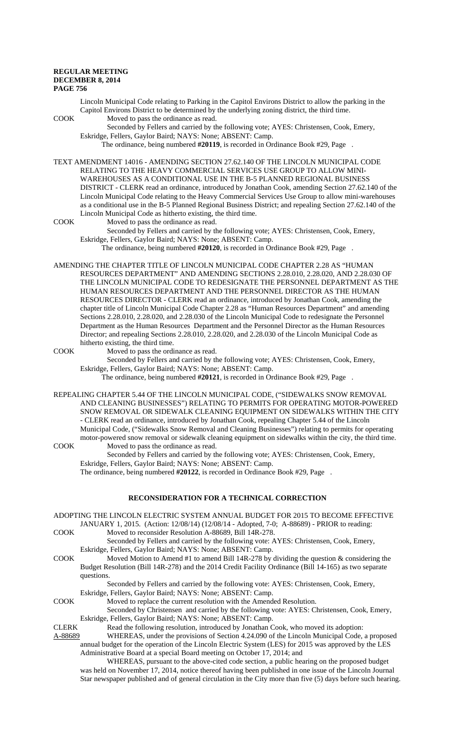Lincoln Municipal Code relating to Parking in the Capitol Environs District to allow the parking in the Capitol Environs District to be determined by the underlying zoning district, the third time.

COOK Moved to pass the ordinance as read.

Seconded by Fellers and carried by the following vote; AYES: Christensen, Cook, Emery, Eskridge, Fellers, Gaylor Baird; NAYS: None; ABSENT: Camp.

The ordinance, being numbered **#20119**, is recorded in Ordinance Book #29, Page .

TEXT AMENDMENT 14016 - AMENDING SECTION 27.62.140 OF THE LINCOLN MUNICIPAL CODE RELATING TO THE HEAVY COMMERCIAL SERVICES USE GROUP TO ALLOW MINI-WAREHOUSES AS A CONDITIONAL USE IN THE B-5 PLANNED REGIONAL BUSINESS DISTRICT - CLERK read an ordinance, introduced by Jonathan Cook, amending Section 27.62.140 of the Lincoln Municipal Code relating to the Heavy Commercial Services Use Group to allow mini-warehouses as a conditional use in the B-5 Planned Regional Business District; and repealing Section 27.62.140 of the Lincoln Municipal Code as hitherto existing, the third time.

COOK Moved to pass the ordinance as read.

Seconded by Fellers and carried by the following vote; AYES: Christensen, Cook, Emery, Eskridge, Fellers, Gaylor Baird; NAYS: None; ABSENT: Camp.

The ordinance, being numbered **#20120**, is recorded in Ordinance Book #29, Page .

AMENDING THE CHAPTER TITLE OF LINCOLN MUNICIPAL CODE CHAPTER 2.28 AS "HUMAN RESOURCES DEPARTMENT" AND AMENDING SECTIONS 2.28.010, 2.28.020, AND 2.28.030 OF THE LINCOLN MUNICIPAL CODE TO REDESIGNATE THE PERSONNEL DEPARTMENT AS THE HUMAN RESOURCES DEPARTMENT AND THE PERSONNEL DIRECTOR AS THE HUMAN RESOURCES DIRECTOR - CLERK read an ordinance, introduced by Jonathan Cook, amending the chapter title of Lincoln Municipal Code Chapter 2.28 as "Human Resources Department" and amending Sections 2.28.010, 2.28.020, and 2.28.030 of the Lincoln Municipal Code to redesignate the Personnel Department as the Human Resources Department and the Personnel Director as the Human Resources Director; and repealing Sections 2.28.010, 2.28.020, and 2.28.030 of the Lincoln Municipal Code as hitherto existing, the third time.

COOK Moved to pass the ordinance as read.

Seconded by Fellers and carried by the following vote; AYES: Christensen, Cook, Emery, Eskridge, Fellers, Gaylor Baird; NAYS: None; ABSENT: Camp.

The ordinance, being numbered **#20121**, is recorded in Ordinance Book #29, Page .

REPEALING CHAPTER 5.44 OF THE LINCOLN MUNICIPAL CODE, ("SIDEWALKS SNOW REMOVAL AND CLEANING BUSINESSES") RELATING TO PERMITS FOR OPERATING MOTOR-POWERED SNOW REMOVAL OR SIDEWALK CLEANING EQUIPMENT ON SIDEWALKS WITHIN THE CITY - CLERK read an ordinance, introduced by Jonathan Cook, repealing Chapter 5.44 of the Lincoln Municipal Code, ("Sidewalks Snow Removal and Cleaning Businesses") relating to permits for operating motor-powered snow removal or sidewalk cleaning equipment on sidewalks within the city, the third time. COOK Moved to pass the ordinance as read.

Seconded by Fellers and carried by the following vote; AYES: Christensen, Cook, Emery, Eskridge, Fellers, Gaylor Baird; NAYS: None; ABSENT: Camp.

The ordinance, being numbered **#20122**, is recorded in Ordinance Book #29, Page .

# **RECONSIDERATION FOR A TECHNICAL CORRECTION**

ADOPTING THE LINCOLN ELECTRIC SYSTEM ANNUAL BUDGET FOR 2015 TO BECOME EFFECTIVE JANUARY 1, 2015. (Action: 12/08/14) (12/08/14 - Adopted, 7-0; A-88689) - PRIOR to reading:

- COOK Moved to reconsider Resolution A-88689, Bill 14R-278. Seconded by Fellers and carried by the following vote: AYES: Christensen, Cook, Emery,
	- Eskridge, Fellers, Gaylor Baird; NAYS: None; ABSENT: Camp.
- COOK Moved Motion to Amend #1 to amend Bill 14R-278 by dividing the question & considering the Budget Resolution (Bill 14R-278) and the 2014 Credit Facility Ordinance (Bill 14-165) as two separate questions.

Seconded by Fellers and carried by the following vote: AYES: Christensen, Cook, Emery, Eskridge, Fellers, Gaylor Baird; NAYS: None; ABSENT: Camp.

COOK Moved to replace the current resolution with the Amended Resolution.

Seconded by Christensen and carried by the following vote: AYES: Christensen, Cook, Emery, Eskridge, Fellers, Gaylor Baird; NAYS: None; ABSENT: Camp.

CLERK Read the following resolution, introduced by Jonathan Cook, who moved its adoption: A-88689 WHEREAS, under the provisions of Section 4.24.090 of the Lincoln Municipal Code, a proposed annual budget for the operation of the Lincoln Electric System (LES) for 2015 was approved by the LES

Administrative Board at a special Board meeting on October 17, 2014; and

WHEREAS, pursuant to the above-cited code section, a public hearing on the proposed budget was held on November 17, 2014, notice thereof having been published in one issue of the Lincoln Journal Star newspaper published and of general circulation in the City more than five (5) days before such hearing.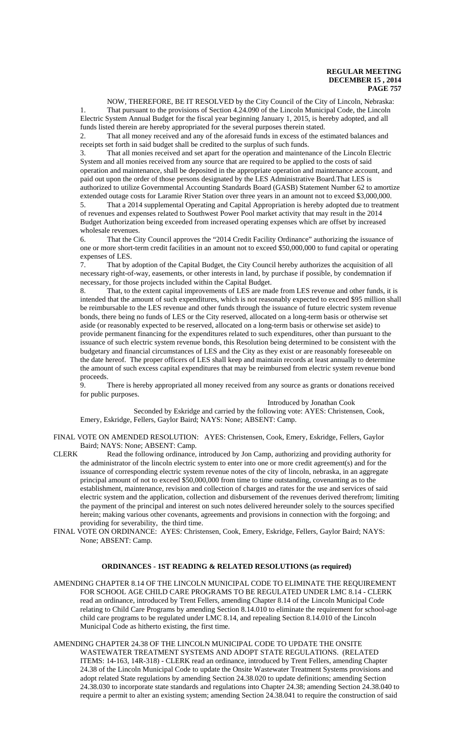NOW, THEREFORE, BE IT RESOLVED by the City Council of the City of Lincoln, Nebraska: 1. That pursuant to the provisions of Section 4.24.090 of the Lincoln Municipal Code, the Lincoln Electric System Annual Budget for the fiscal year beginning January 1, 2015, is hereby adopted, and all funds listed therein are hereby appropriated for the several purposes therein stated.

2. That all money received and any of the aforesaid funds in excess of the estimated balances and receipts set forth in said budget shall be credited to the surplus of such funds.

3. That all monies received and set apart for the operation and maintenance of the Lincoln Electric System and all monies received from any source that are required to be applied to the costs of said operation and maintenance, shall be deposited in the appropriate operation and maintenance account, and paid out upon the order of those persons designated by the LES Administrative Board.That LES is authorized to utilize Governmental Accounting Standards Board (GASB) Statement Number 62 to amortize extended outage costs for Laramie River Station over three years in an amount not to exceed \$3,000,000.

5. That a 2014 supplemental Operating and Capital Appropriation is hereby adopted due to treatment of revenues and expenses related to Southwest Power Pool market activity that may result in the 2014 Budget Authorization being exceeded from increased operating expenses which are offset by increased wholesale revenues.

6. That the City Council approves the "2014 Credit Facility Ordinance" authorizing the issuance of one or more short-term credit facilities in an amount not to exceed \$50,000,000 to fund capital or operating expenses of LES.

7. That by adoption of the Capital Budget, the City Council hereby authorizes the acquisition of all necessary right-of-way, easements, or other interests in land, by purchase if possible, by condemnation if necessary, for those projects included within the Capital Budget.

8. That, to the extent capital improvements of LES are made from LES revenue and other funds, it is intended that the amount of such expenditures, which is not reasonably expected to exceed \$95 million shall be reimbursable to the LES revenue and other funds through the issuance of future electric system revenue bonds, there being no funds of LES or the City reserved, allocated on a long-term basis or otherwise set aside (or reasonably expected to be reserved, allocated on a long-term basis or otherwise set aside) to provide permanent financing for the expenditures related to such expenditures, other than pursuant to the issuance of such electric system revenue bonds, this Resolution being determined to be consistent with the budgetary and financial circumstances of LES and the City as they exist or are reasonably foreseeable on the date hereof. The proper officers of LES shall keep and maintain records at least annually to determine the amount of such excess capital expenditures that may be reimbursed from electric system revenue bond proceeds.

9. There is hereby appropriated all money received from any source as grants or donations received for public purposes.

Introduced by Jonathan Cook

Seconded by Eskridge and carried by the following vote: AYES: Christensen, Cook, Emery, Eskridge, Fellers, Gaylor Baird; NAYS: None; ABSENT: Camp.

FINAL VOTE ON AMENDED RESOLUTION: AYES: Christensen, Cook, Emery, Eskridge, Fellers, Gaylor Baird; NAYS: None; ABSENT: Camp.

- CLERK Read the following ordinance, introduced by Jon Camp, authorizing and providing authority for the administrator of the lincoln electric system to enter into one or more credit agreement(s) and for the issuance of corresponding electric system revenue notes of the city of lincoln, nebraska, in an aggregate principal amount of not to exceed \$50,000,000 from time to time outstanding, covenanting as to the establishment, maintenance, revision and collection of charges and rates for the use and services of said electric system and the application, collection and disbursement of the revenues derived therefrom; limiting the payment of the principal and interest on such notes delivered hereunder solely to the sources specified herein; making various other covenants, agreements and provisions in connection with the forgoing; and providing for severability, the third time.
- FINAL VOTE ON ORDINANCE: AYES: Christensen, Cook, Emery, Eskridge, Fellers, Gaylor Baird; NAYS: None; ABSENT: Camp.

## **ORDINANCES - 1ST READING & RELATED RESOLUTIONS (as required)**

AMENDING CHAPTER 8.14 OF THE LINCOLN MUNICIPAL CODE TO ELIMINATE THE REQUIREMENT FOR SCHOOL AGE CHILD CARE PROGRAMS TO BE REGULATED UNDER LMC 8.14 - CLERK read an ordinance, introduced by Trent Fellers, amending Chapter 8.14 of the Lincoln Municipal Code relating to Child Care Programs by amending Section 8.14.010 to eliminate the requirement for school-age child care programs to be regulated under LMC 8.14, and repealing Section 8.14.010 of the Lincoln Municipal Code as hitherto existing, the first time.

AMENDING CHAPTER 24.38 OF THE LINCOLN MUNICIPAL CODE TO UPDATE THE ONSITE WASTEWATER TREATMENT SYSTEMS AND ADOPT STATE REGULATIONS. (RELATED ITEMS: 14-163, 14R-318) - CLERK read an ordinance, introduced by Trent Fellers, amending Chapter 24.38 of the Lincoln Municipal Code to update the Onsite Wastewater Treatment Systems provisions and adopt related State regulations by amending Section 24.38.020 to update definitions; amending Section 24.38.030 to incorporate state standards and regulations into Chapter 24.38; amending Section 24.38.040 to require a permit to alter an existing system; amending Section 24.38.041 to require the construction of said